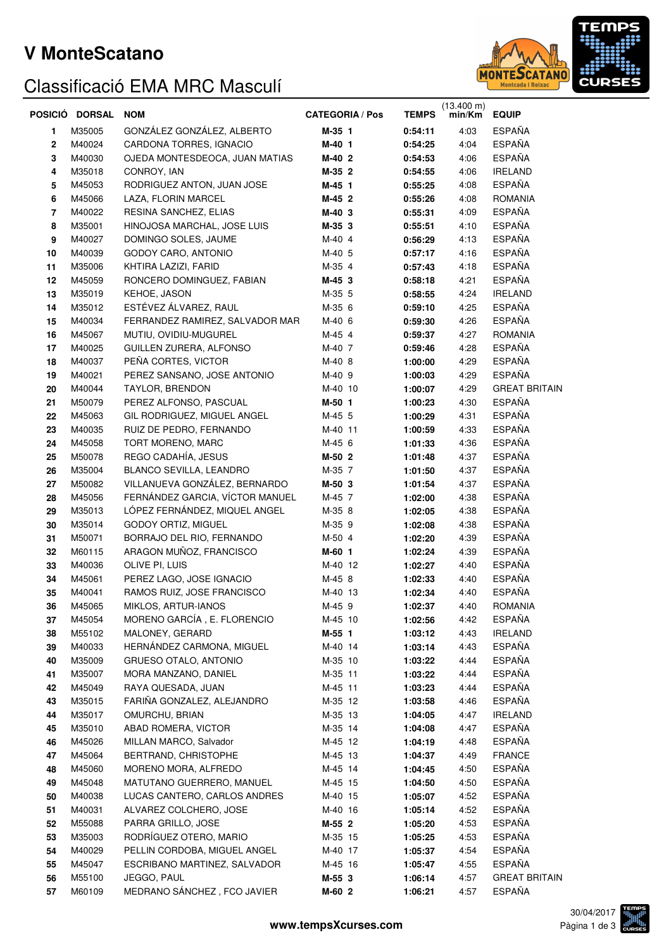### **V MonteScatano**

## Classificació EMA MRC Masculí



|    | POSICIÓ DORSAL | <b>NOM</b>                      | <b>CATEGORIA / Pos</b> | <b>TEMPS</b> | $(13.400 \text{ m})$<br>min/Km | <b>EQUIP</b>         |
|----|----------------|---------------------------------|------------------------|--------------|--------------------------------|----------------------|
| 1  | M35005         | GONZÁLEZ GONZÁLEZ, ALBERTO      | M-35 1                 | 0:54:11      | 4:03                           | <b>ESPAÑA</b>        |
| 2  | M40024         | CARDONA TORRES, IGNACIO         | M-40 1                 | 0:54:25      | 4:04                           | <b>ESPAÑA</b>        |
| 3  | M40030         | OJEDA MONTESDEOCA, JUAN MATIAS  | M-40 2                 | 0:54:53      | 4:06                           | <b>ESPAÑA</b>        |
| 4  | M35018         | CONROY, IAN                     | M-35 2                 | 0:54:55      | 4:06                           | <b>IRELAND</b>       |
| 5  | M45053         | RODRIGUEZ ANTON, JUAN JOSE      | M-45 1                 | 0:55:25      | 4:08                           | <b>ESPAÑA</b>        |
| 6  | M45066         | LAZA, FLORIN MARCEL             | M-45 2                 | 0:55:26      | 4:08                           | <b>ROMANIA</b>       |
| 7  | M40022         | RESINA SANCHEZ, ELIAS           | M-40 3                 | 0:55:31      | 4:09                           | <b>ESPAÑA</b>        |
| 8  | M35001         | HINOJOSA MARCHAL, JOSE LUIS     | M-35 3                 | 0:55:51      | 4:10                           | <b>ESPAÑA</b>        |
| 9  | M40027         | DOMINGO SOLES, JAUME            | M-40 4                 | 0:56:29      | 4:13                           | <b>ESPAÑA</b>        |
| 10 | M40039         | GODOY CARO, ANTONIO             | M-40 5                 | 0:57:17      | 4:16                           | <b>ESPAÑA</b>        |
| 11 | M35006         | KHTIRA LAZIZI, FARID            | M-35 4                 | 0:57:43      | 4:18                           | <b>ESPAÑA</b>        |
| 12 | M45059         | RONCERO DOMINGUEZ, FABIAN       | M-45 3                 | 0:58:18      | 4:21                           | <b>ESPAÑA</b>        |
| 13 | M35019         | KEHOE, JASON                    | M-35 5                 | 0:58:55      | 4:24                           | <b>IRELAND</b>       |
| 14 | M35012         | ESTÉVEZ ÁLVAREZ, RAUL           | M-35 6                 | 0:59:10      | 4:25                           | <b>ESPAÑA</b>        |
| 15 | M40034         | FERRANDEZ RAMIREZ, SALVADOR MAR | M-40 6                 | 0:59:30      | 4:26                           | <b>ESPAÑA</b>        |
| 16 | M45067         | MUTIU, OVIDIU-MUGUREL           | M-45 4                 | 0:59:37      | 4:27                           | <b>ROMANIA</b>       |
| 17 | M40025         | GUILLEN ZURERA, ALFONSO         | M-40 7                 | 0:59:46      | 4:28                           | <b>ESPAÑA</b>        |
| 18 | M40037         | PEÑA CORTES, VICTOR             | M-40 8                 | 1:00:00      | 4:29                           | <b>ESPAÑA</b>        |
| 19 | M40021         | PEREZ SANSANO, JOSE ANTONIO     | M-40 9                 | 1:00:03      | 4:29                           | <b>ESPAÑA</b>        |
| 20 | M40044         | TAYLOR, BRENDON                 | M-40 10                | 1:00:07      | 4:29                           | <b>GREAT BRITAIN</b> |
| 21 | M50079         | PEREZ ALFONSO, PASCUAL          | M-50 1                 | 1:00:23      | 4:30                           | <b>ESPAÑA</b>        |
| 22 | M45063         | GIL RODRIGUEZ, MIGUEL ANGEL     | M-45 5                 | 1:00:29      | 4:31                           | <b>ESPAÑA</b>        |
| 23 | M40035         | RUIZ DE PEDRO, FERNANDO         | M-40 11                | 1:00:59      | 4:33                           | <b>ESPAÑA</b>        |
| 24 | M45058         | TORT MORENO, MARC               | M-45 6                 | 1:01:33      | 4:36                           | <b>ESPAÑA</b>        |
| 25 | M50078         | REGO CADAHÍA, JESUS             | M-50 2                 | 1:01:48      | 4:37                           | <b>ESPAÑA</b>        |
| 26 | M35004         | BLANCO SEVILLA, LEANDRO         | M-35 7                 | 1:01:50      | 4:37                           | <b>ESPAÑA</b>        |
| 27 | M50082         | VILLANUEVA GONZÁLEZ, BERNARDO   | M-50 3                 | 1:01:54      | 4:37                           | <b>ESPAÑA</b>        |
| 28 | M45056         | FERNÁNDEZ GARCIA, VÍCTOR MANUEL | M-45 7                 | 1:02:00      | 4:38                           | <b>ESPAÑA</b>        |
| 29 | M35013         | LÓPEZ FERNÁNDEZ, MIQUEL ANGEL   | M-35 8                 | 1:02:05      | 4:38                           | <b>ESPAÑA</b>        |
| 30 | M35014         | GODOY ORTIZ, MIGUEL             | M-35 9                 | 1:02:08      | 4:38                           | <b>ESPAÑA</b>        |
| 31 | M50071         | BORRAJO DEL RIO, FERNANDO       | M-50 4                 | 1:02:20      | 4:39                           | <b>ESPAÑA</b>        |
| 32 | M60115         | ARAGON MUÑOZ, FRANCISCO         | M-60 1                 | 1:02:24      | 4:39                           | <b>ESPAÑA</b>        |
| 33 | M40036         | OLIVE PI, LUIS                  | M-40 12                | 1:02:27      | 4:40                           | <b>ESPAÑA</b>        |
| 34 | M45061         | PEREZ LAGO, JOSE IGNACIO        | M-45 8                 | 1:02:33      | 4:40                           | <b>ESPAÑA</b>        |
| 35 | M40041         | RAMOS RUIZ, JOSE FRANCISCO      | M-40 13                | 1:02:34      | 4:40                           | <b>ESPAÑA</b>        |
| 36 | M45065         | MIKLOS, ARTUR-IANOS             | M-45 9                 | 1:02:37      | 4:40                           | <b>ROMANIA</b>       |
| 37 | M45054         | MORENO GARCÍA, E. FLORENCIO     | M-45 10                | 1:02:56      | 4:42                           | <b>ESPAÑA</b>        |
| 38 | M55102         | MALONEY, GERARD                 | M-55 1                 | 1:03:12      | 4:43                           | <b>IRELAND</b>       |
| 39 | M40033         | HERNÁNDEZ CARMONA, MIGUEL       | M-40 14                | 1:03:14      | 4:43                           | <b>ESPAÑA</b>        |
| 40 | M35009         | <b>GRUESO OTALO, ANTONIO</b>    | M-35 10                | 1:03:22      | 4:44                           | <b>ESPAÑA</b>        |
| 41 | M35007         | MORA MANZANO, DANIEL            | M-35 11                | 1:03:22      | 4:44                           | <b>ESPAÑA</b>        |
| 42 | M45049         | RAYA QUESADA, JUAN              | M-45 11                | 1:03:23      | 4:44                           | <b>ESPAÑA</b>        |
| 43 | M35015         | FARIÑA GONZALEZ, ALEJANDRO      | M-35 12                | 1:03:58      | 4:46                           | ESPAÑA               |
| 44 | M35017         | OMURCHU, BRIAN                  | M-35 13                | 1:04:05      | 4:47                           | <b>IRELAND</b>       |
| 45 | M35010         | ABAD ROMERA, VICTOR             | M-35 14                | 1:04:08      | 4:47                           | <b>ESPAÑA</b>        |
| 46 | M45026         | MILLAN MARCO, Salvador          | M-45 12                | 1:04:19      | 4:48                           | <b>ESPAÑA</b>        |
| 47 | M45064         | BERTRAND, CHRISTOPHE            | M-45 13                | 1:04:37      | 4:49                           | <b>FRANCE</b>        |
| 48 | M45060         | MORENO MORA, ALFREDO            | M-45 14                | 1:04:45      | 4:50                           | <b>ESPAÑA</b>        |
| 49 | M45048         | MATUTANO GUERRERO, MANUEL       | M-45 15                | 1:04:50      | 4:50                           | <b>ESPAÑA</b>        |
| 50 | M40038         | LUCAS CANTERO, CARLOS ANDRES    | M-40 15                | 1:05:07      | 4:52                           | <b>ESPAÑA</b>        |
| 51 | M40031         | ALVAREZ COLCHERO, JOSE          | M-40 16                | 1:05:14      | 4:52                           | <b>ESPAÑA</b>        |
| 52 | M55088         | PARRA GRILLO, JOSE              | M-55 2                 | 1:05:20      | 4:53                           | <b>ESPAÑA</b>        |
| 53 | M35003         | RODRÍGUEZ OTERO, MARIO          | M-35 15                | 1:05:25      | 4:53                           | <b>ESPAÑA</b>        |
| 54 | M40029         | PELLIN CORDOBA, MIGUEL ANGEL    | M-40 17                | 1:05:37      | 4:54                           | <b>ESPAÑA</b>        |
| 55 | M45047         | ESCRIBANO MARTINEZ, SALVADOR    | M-45 16                | 1:05:47      | 4:55                           | <b>ESPAÑA</b>        |
| 56 | M55100         | JEGGO, PAUL                     | $M-55$ 3               | 1:06:14      | 4:57                           | <b>GREAT BRITAIN</b> |
| 57 | M60109         | MEDRANO SÁNCHEZ, FCO JAVIER     | M-60 2                 | 1:06:21      | 4.57                           | <b>ESPAÑA</b>        |

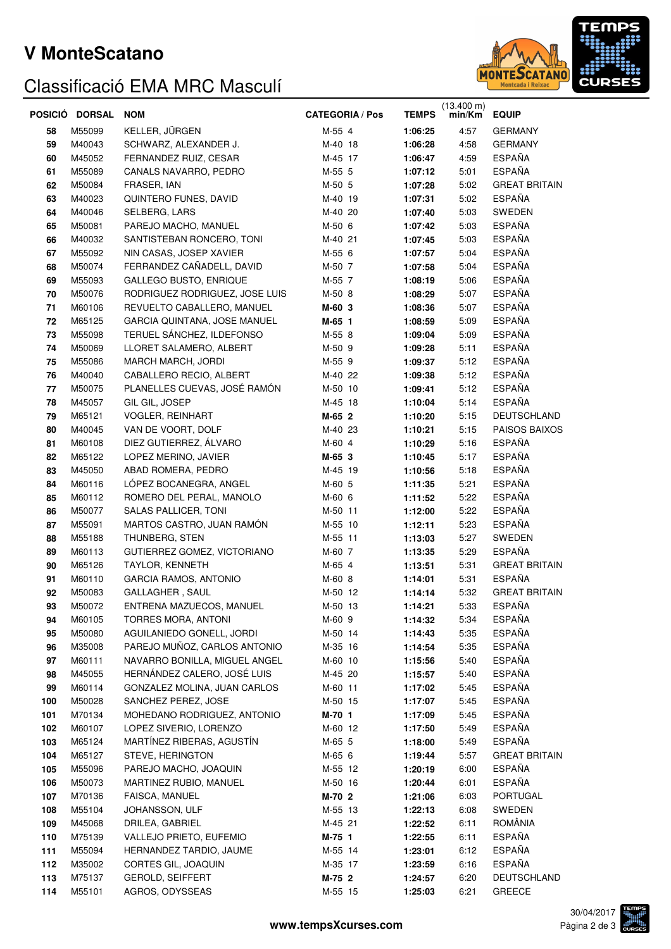### **V MonteScatano**

# Classificació EMA MRC Masculí



|     | POSICIÓ DORSAL | <b>NOM</b>                     | <b>CATEGORIA / Pos</b> | <b>TEMPS</b> | $(13.400 \text{ m})$<br>min/Km | <b>EQUIP</b>         |  |
|-----|----------------|--------------------------------|------------------------|--------------|--------------------------------|----------------------|--|
| 58  | M55099         | KELLER, JÜRGEN                 | M-55 4                 | 1:06:25      | 4:57                           | <b>GERMANY</b>       |  |
| 59  | M40043         | SCHWARZ, ALEXANDER J.          | M-40 18                | 1:06:28      | 4:58                           | <b>GERMANY</b>       |  |
| 60  | M45052         | FERNANDEZ RUIZ, CESAR          | M-45 17                | 1:06:47      | 4:59                           | <b>ESPAÑA</b>        |  |
| 61  | M55089         | CANALS NAVARRO, PEDRO          | M-55 5                 | 1:07:12      | 5:01                           | <b>ESPAÑA</b>        |  |
| 62  | M50084         | FRASER, IAN                    | M-50 5                 | 1:07:28      | 5:02                           | <b>GREAT BRITAIN</b> |  |
| 63  | M40023         | QUINTERO FUNES, DAVID          | M-40 19                | 1:07:31      | 5:02                           | <b>ESPAÑA</b>        |  |
| 64  | M40046         | SELBERG, LARS                  | M-40 20                | 1:07:40      | 5:03                           | SWEDEN               |  |
| 65  | M50081         | PAREJO MACHO, MANUEL           | M-50 6                 | 1:07:42      | 5:03                           | <b>ESPAÑA</b>        |  |
| 66  | M40032         | SANTISTEBAN RONCERO, TONI      | M-40 21                | 1:07:45      | 5:03                           | <b>ESPAÑA</b>        |  |
| 67  | M55092         | NIN CASAS, JOSEP XAVIER        | M-55 6                 | 1:07:57      | 5:04                           | <b>ESPAÑA</b>        |  |
| 68  | M50074         | FERRANDEZ CAÑADELL, DAVID      | M-50 7                 | 1:07:58      | 5:04                           | <b>ESPAÑA</b>        |  |
| 69  | M55093         | GALLEGO BUSTO, ENRIQUE         | M-55 7                 | 1:08:19      | 5:06                           | <b>ESPAÑA</b>        |  |
| 70  | M50076         | RODRIGUEZ RODRIGUEZ, JOSE LUIS | M-50 8                 | 1:08:29      | 5:07                           | <b>ESPAÑA</b>        |  |
| 71  | M60106         | REVUELTO CABALLERO, MANUEL     | M-60 3                 | 1:08:36      | 5:07                           | <b>ESPAÑA</b>        |  |
| 72  | M65125         | GARCIA QUINTANA, JOSE MANUEL   | M-65 1                 | 1:08:59      | 5:09                           | <b>ESPAÑA</b>        |  |
| 73  | M55098         | TERUEL SÁNCHEZ, ILDEFONSO      | M-55 8                 | 1:09:04      | 5:09                           | <b>ESPAÑA</b>        |  |
| 74  | M50069         | LLORET SALAMERO, ALBERT        | M-50 9                 | 1:09:28      | 5:11                           | <b>ESPAÑA</b>        |  |
| 75  | M55086         | MARCH MARCH, JORDI             | M-55 9                 | 1:09:37      | 5:12                           | <b>ESPAÑA</b>        |  |
| 76  | M40040         | CABALLERO RECIO, ALBERT        | M-40 22                | 1:09:38      | 5:12                           | <b>ESPAÑA</b>        |  |
| 77  | M50075         | PLANELLES CUEVAS, JOSÉ RAMÓN   | M-50 10                | 1:09:41      | 5:12                           | <b>ESPAÑA</b>        |  |
| 78  | M45057         | GIL GIL, JOSEP                 | M-45 18                | 1:10:04      | 5:14                           | <b>ESPAÑA</b>        |  |
| 79  | M65121         | <b>VOGLER, REINHART</b>        | M-65 2                 | 1:10:20      | 5:15                           | DEUTSCHLAND          |  |
| 80  | M40045         | VAN DE VOORT, DOLF             | M-40 23                | 1:10:21      | 5:15                           | PAISOS BAIXOS        |  |
| 81  | M60108         | DIEZ GUTIERREZ, ÁLVARO         | M-60 4                 | 1:10:29      | 5:16                           | <b>ESPAÑA</b>        |  |
| 82  | M65122         | LOPEZ MERINO, JAVIER           | M-65 3                 | 1:10:45      | 5:17                           | <b>ESPAÑA</b>        |  |
| 83  | M45050         | ABAD ROMERA, PEDRO             | M-45 19                | 1:10:56      | 5:18                           | <b>ESPAÑA</b>        |  |
| 84  | M60116         | LÓPEZ BOCANEGRA, ANGEL         | M-60 5                 | 1:11:35      | 5:21                           | <b>ESPAÑA</b>        |  |
| 85  | M60112         | ROMERO DEL PERAL, MANOLO       | M-60 6                 | 1:11:52      | 5:22                           | <b>ESPAÑA</b>        |  |
| 86  | M50077         | <b>SALAS PALLICER, TONI</b>    | M-50 11                | 1:12:00      | 5:22                           | <b>ESPAÑA</b>        |  |
| 87  | M55091         | MARTOS CASTRO, JUAN RAMÓN      | M-55 10                | 1:12:11      | 5:23                           | <b>ESPAÑA</b>        |  |
| 88  | M55188         | THUNBERG, STEN                 | M-55 11                | 1:13:03      | 5:27                           | SWEDEN               |  |
| 89  | M60113         | GUTIERREZ GOMEZ, VICTORIANO    | M-60 7                 | 1:13:35      | 5:29                           | <b>ESPAÑA</b>        |  |
| 90  | M65126         | TAYLOR, KENNETH                | M-65 4                 | 1:13:51      | 5:31                           | <b>GREAT BRITAIN</b> |  |
| 91  | M60110         | <b>GARCIA RAMOS, ANTONIO</b>   | M-60 8                 | 1:14:01      | 5:31                           | <b>ESPAÑA</b>        |  |
| 92  | M50083         | <b>GALLAGHER, SAUL</b>         | M-50 12                | 1:14:14      | 5:32                           | <b>GREAT BRITAIN</b> |  |
| 93  | M50072         | ENTRENA MAZUECOS, MANUEL       | M-50 13                | 1:14:21      | 5:33                           | <b>ESPAÑA</b>        |  |
| 94  | M60105         | TORRES MORA, ANTONI            | M-60 9                 | 1:14:32      | 5:34                           | <b>ESPAÑA</b>        |  |
| 95  | M50080         | AGUILANIEDO GONELL, JORDI      | M-50 14                | 1:14:43      | 5:35                           | <b>ESPAÑA</b>        |  |
| 96  | M35008         | PAREJO MUÑOZ, CARLOS ANTONIO   | M-35 16                | 1:14:54      | 5:35                           | <b>ESPAÑA</b>        |  |
| 97  | M60111         | NAVARRO BONILLA, MIGUEL ANGEL  | M-60 10                | 1:15:56      | 5:40                           | <b>ESPAÑA</b>        |  |
| 98  | M45055         | HERNÁNDEZ CALERO, JOSÉ LUIS    | M-45 20                | 1:15:57      | 5:40                           | <b>ESPAÑA</b>        |  |
| 99  | M60114         | GONZALEZ MOLINA, JUAN CARLOS   | M-60 11                | 1:17:02      | 5:45                           | <b>ESPAÑA</b>        |  |
| 100 | M50028         | SANCHEZ PEREZ, JOSE            | M-50 15                | 1:17:07      | 5:45                           | <b>ESPAÑA</b>        |  |
| 101 | M70134         | MOHEDANO RODRIGUEZ, ANTONIO    | M-70 1                 | 1:17:09      | 5:45                           | <b>ESPAÑA</b>        |  |
| 102 | M60107         | LOPEZ SIVERIO, LORENZO         | M-60 12                | 1:17:50      | 5:49                           | <b>ESPAÑA</b>        |  |
| 103 | M65124         | MARTÍNEZ RIBERAS, AGUSTÍN      | M-65 5                 | 1:18:00      | 5:49                           | <b>ESPAÑA</b>        |  |
| 104 | M65127         | STEVE, HERINGTON               | M-65 6                 | 1:19:44      | 5:57                           | <b>GREAT BRITAIN</b> |  |
| 105 | M55096         | PAREJO MACHO, JOAQUIN          | M-55 12                | 1:20:19      | 6:00                           | <b>ESPAÑA</b>        |  |
| 106 | M50073         | MARTINEZ RUBIO, MANUEL         | M-50 16                | 1:20:44      | 6:01                           | <b>ESPAÑA</b>        |  |
| 107 | M70136         | FAISCA, MANUEL                 | M-70 2                 | 1:21:06      | 6:03                           | PORTUGAL             |  |
| 108 | M55104         | JOHANSSON, ULF                 | M-55 13                | 1:22:13      | 6:08                           | SWEDEN               |  |
| 109 | M45068         | DRILEA, GABRIEL                | M-45 21                | 1:22:52      | 6:11                           | ROMÂNIA              |  |
| 110 | M75139         | VALLEJO PRIETO, EUFEMIO        | M-75 1                 | 1:22:55      | 6:11                           | ESPAÑA               |  |
| 111 | M55094         | HERNANDEZ TARDIO, JAUME        | M-55 14                | 1:23:01      | 6:12                           | <b>ESPAÑA</b>        |  |
| 112 | M35002         | CORTES GIL, JOAQUIN            | M-35 17                | 1:23:59      | 6:16                           | <b>ESPAÑA</b>        |  |
| 113 | M75137         | GEROLD, SEIFFERT               | M-75 2                 | 1:24:57      | 6:20                           | DEUTSCHLAND          |  |
| 114 | M55101         | AGROS, ODYSSEAS                | M-55 15                | 1:25:03      | 6:21                           | <b>GREECE</b>        |  |